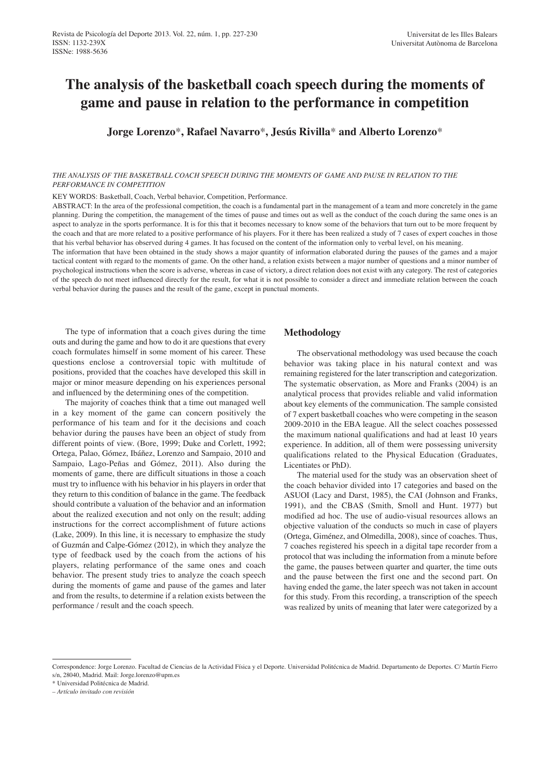# **The analysis of the basketball coach speech during the moments of game and pause in relation to the performance in competition**

**Jorge Lorenzo**\***, Rafael Navarro**\***, Jesús Rivilla**\* **and Alberto Lorenzo**\*

#### THE ANALYSIS OF THE BASKETBALL COACH SPEECH DURING THE MOMENTS OF GAME AND PAUSE IN RELATION TO THE *PERFORMANCE IN COMPETITION*

KEY WORDS: Basketball, Coach, Verbal behavior, Competition, Performance.

ABSTRACT: In the area of the professional competition, the coach is a fundamental part in the management of a team and more concretely in the game planning. During the competition, the management of the times of pause and times out as well as the conduct of the coach during the same ones is an aspect to analyze in the sports performance. It is for this that it becomes necessary to know some of the behaviors that turn out to be more frequent by the coach and that are more related to a positive performance of his players. For it there has been realized a study of 7 cases of expert coaches in those that his verbal behavior has observed during 4 games. It has focused on the content of the information only to verbal level, on his meaning.

The information that have been obtained in the study shows a major quantity of information elaborated during the pauses of the games and a major tactical content with regard to the moments of game. On the other hand, a relation exists between a major number of questions and a minor number of psychological instructions when the score is adverse, whereas in case of victory, a direct relation does not exist with any category. The rest of categories of the speech do not meet influenced directly for the result, for what it is not possible to consider a direct and immediate relation between the coach verbal behavior during the pauses and the result of the game, except in punctual moments.

The type of information that a coach gives during the time outs and during the game and how to do it are questions that every coach formulates himself in some moment of his career. These questions enclose a controversial topic with multitude of positions, provided that the coaches have developed this skill in major or minor measure depending on his experiences personal and influenced by the determining ones of the competition.

The majority of coaches think that a time out managed well in a key moment of the game can concern positively the performance of his team and for it the decisions and coach behavior during the pauses have been an object of study from different points of view. (Bore, 1999; Duke and Corlett, 1992; Ortega, Palao, Gómez, Ibáñez, Lorenzo and Sampaio, 2010 and Sampaio, Lago-Peñas and Gómez, 2011). Also during the moments of game, there are difficult situations in those a coach must try to influence with his behavior in his players in order that they return to this condition of balance in the game. The feedback should contribute a valuation of the behavior and an information about the realized execution and not only on the result; adding instructions for the correct accomplishment of future actions (Lake, 2009). In this line, it is necessary to emphasize the study of Guzmán and Calpe-Gómez (2012), in which they analyze the type of feedback used by the coach from the actions of his players, relating performance of the same ones and coach behavior. The present study tries to analyze the coach speech during the moments of game and pause of the games and later and from the results, to determine if a relation exists between the performance / result and the coach speech.

## **Methodology**

The observational methodology was used because the coach behavior was taking place in his natural context and was remaining registered for the later transcription and categorization. The systematic observation, as More and Franks (2004) is an analytical process that provides reliable and valid information about key elements of the communication. The sample consisted of 7 expert basketball coaches who were competing in the season 2009-2010 in the EBA league. All the select coaches possessed the maximum national qualifications and had at least 10 years experience. In addition, all of them were possessing university qualifications related to the Physical Education (Graduates, Licentiates or PhD).

The material used for the study was an observation sheet of the coach behavior divided into 17 categories and based on the ASUOI (Lacy and Darst, 1985), the CAI (Johnson and Franks, 1991), and the CBAS (Smith, Smoll and Hunt. 1977) but modified ad hoc. The use of audio-visual resources allows an objective valuation of the conducts so much in case of players (Ortega, Giménez, and Olmedilla, 2008), since of coaches. Thus, 7 coaches registered his speech in a digital tape recorder from a protocol that was including the information from a minute before the game, the pauses between quarter and quarter, the time outs and the pause between the first one and the second part. On having ended the game, the later speech was not taken in account for this study. From this recording, a transcription of the speech was realized by units of meaning that later were categorized by a

Correspondence: Jorge Lorenzo. Facultad de Ciencias de la Actividad Física y el Deporte. Universidad Politécnica de Madrid. Departamento de Deportes. C/ Martín Fierro s/n, 28040, Madrid. Mail: Jorge.lorenzo@upm.es

<sup>\*</sup> Universidad Politécnica de Madrid.

*<sup>–</sup> Artículo invitado con revisión*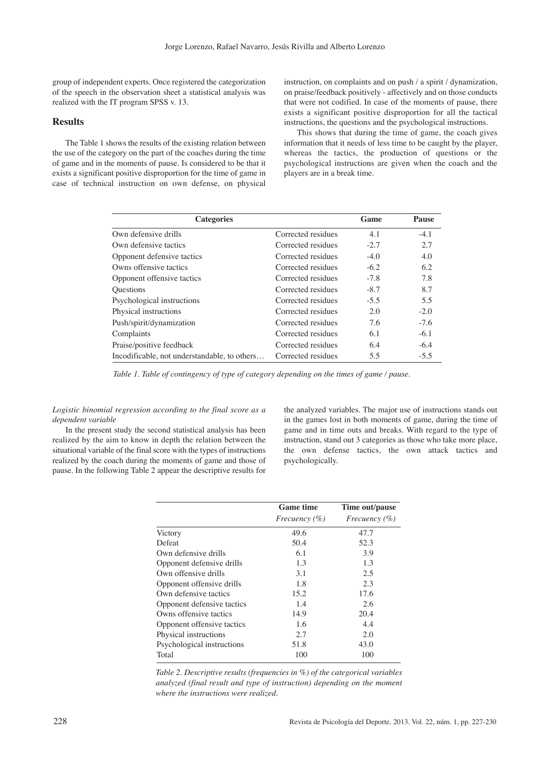group of independent experts. Once registered the categorization of the speech in the observation sheet a statistical analysis was realized with the IT program SPSS v. 13.

# **Results**

The Table 1 shows the results of the existing relation between the use of the category on the part of the coaches during the time of game and in the moments of pause. Is considered to be that it exists a significant positive disproportion for the time of game in case of technical instruction on own defense, on physical instruction, on complaints and on push / a spirit / dynamization, on praise/feedback positively - affectively and on those conducts that were not codified. In case of the moments of pause, there exists a significant positive disproportion for all the tactical instructions, the questions and the psychological instructions.

This shows that during the time of game, the coach gives information that it needs of less time to be caught by the player, whereas the tactics, the production of questions or the psychological instructions are given when the coach and the players are in a break time.

| <b>Categories</b>                            |                    | Game   | Pause  |
|----------------------------------------------|--------------------|--------|--------|
| Own defensive drills                         | Corrected residues | 4.1    | $-4.1$ |
| Own defensive tactics                        | Corrected residues | $-2.7$ | 2.7    |
| Opponent defensive tactics                   | Corrected residues | $-4.0$ | 4.0    |
| Owns offensive tactics                       | Corrected residues | $-6.2$ | 6.2    |
| Opponent offensive tactics                   | Corrected residues | $-7.8$ | 7.8    |
| <b>Questions</b>                             | Corrected residues | $-8.7$ | 8.7    |
| Psychological instructions                   | Corrected residues | $-5.5$ | 5.5    |
| Physical instructions                        | Corrected residues | 2.0    | $-2.0$ |
| Push/spirit/dynamization                     | Corrected residues | 7.6    | $-7.6$ |
| Complaints                                   | Corrected residues | 6.1    | $-6.1$ |
| Praise/positive feedback                     | Corrected residues | 6.4    | $-6.4$ |
| Incodificable, not understandable, to others | Corrected residues | 5.5    | $-5.5$ |

*Table 1. Table of contingency of type of category depending on the times of game / pause.*

*Logistic binomial regression according to the final score as a dependent variable*

In the present study the second statistical analysis has been realized by the aim to know in depth the relation between the situational variable of the final score with the types of instructions realized by the coach during the moments of game and those of pause. In the following Table 2 appear the descriptive results for

the analyzed variables. The major use of instructions stands out in the games lost in both moments of game, during the time of game and in time outs and breaks. With regard to the type of instruction, stand out 3 categories as those who take more place, the own defense tactics, the own attack tactics and psychologically.

|                            | <b>Game time</b>     | Time out/pause    |
|----------------------------|----------------------|-------------------|
|                            | <i>Frecuency</i> (%) | Frecuency $(\% )$ |
| Victory                    | 49.6                 | 47.7              |
| Defeat                     | 50.4                 | 52.3              |
| Own defensive drills       | 6.1                  | 3.9               |
| Opponent defensive drills  | 1.3                  | 1.3               |
| Own offensive drills       | 3.1                  | 2.5               |
| Opponent offensive drills  | 1.8                  | 2.3               |
| Own defensive tactics      | 15.2                 | 17.6              |
| Opponent defensive tactics | 1.4                  | 2.6               |
| Owns offensive tactics     | 14.9                 | 20.4              |
| Opponent offensive tactics | 1.6                  | 4.4               |
| Physical instructions      | 2.7                  | 2.0               |
| Psychological instructions | 51.8                 | 43.0              |
| Total                      | 100                  | 100               |

*Table 2. Descriptive results (frequencies in %) of the categorical variables analyzed (final result and type of instruction) depending on the moment where the instructions were realized.*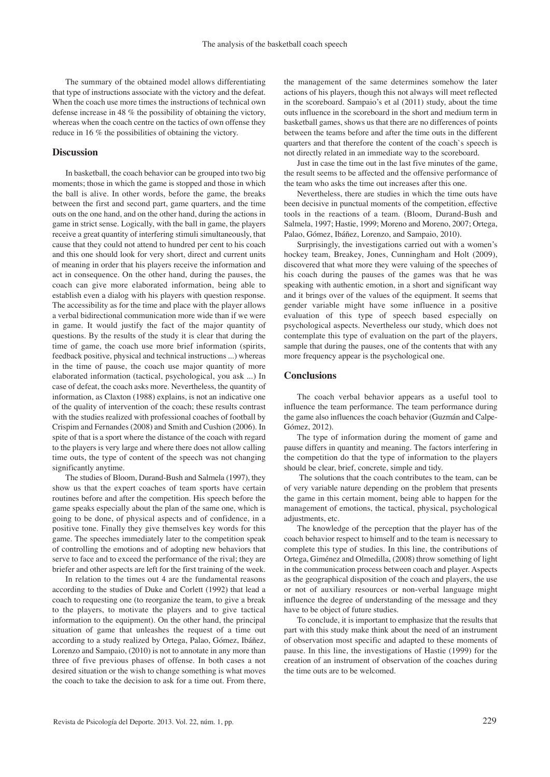The summary of the obtained model allows differentiating that type of instructions associate with the victory and the defeat. When the coach use more times the instructions of technical own defense increase in 48 % the possibility of obtaining the victory, whereas when the coach centre on the tactics of own offense they reduce in 16 % the possibilities of obtaining the victory.

## **Discussion**

In basketball, the coach behavior can be grouped into two big moments; those in which the game is stopped and those in which the ball is alive. In other words, before the game, the breaks between the first and second part, game quarters, and the time outs on the one hand, and on the other hand, during the actions in game in strict sense. Logically, with the ball in game, the players receive a great quantity of interfering stimuli simultaneously, that cause that they could not attend to hundred per cent to his coach and this one should look for very short, direct and current units of meaning in order that his players receive the information and act in consequence. On the other hand, during the pauses, the coach can give more elaborated information, being able to establish even a dialog with his players with question response. The accessibility as for the time and place with the player allows a verbal bidirectional communication more wide than if we were in game. It would justify the fact of the major quantity of questions. By the results of the study it is clear that during the time of game, the coach use more brief information (spirits, feedback positive, physical and technical instructions ...) whereas in the time of pause, the coach use major quantity of more elaborated information (tactical, psychological, you ask ...) In case of defeat, the coach asks more. Nevertheless, the quantity of information, as Claxton (1988) explains, is not an indicative one of the quality of intervention of the coach; these results contrast with the studies realized with professional coaches of football by Crispim and Fernandes (2008) and Smith and Cushion (2006). In spite of that is a sport where the distance of the coach with regard to the players is very large and where there does not allow calling time outs, the type of content of the speech was not changing significantly anytime.

The studies of Bloom, Durand-Bush and Salmela (1997), they show us that the expert coaches of team sports have certain routines before and after the competition. His speech before the game speaks especially about the plan of the same one, which is going to be done, of physical aspects and of confidence, in a positive tone. Finally they give themselves key words for this game. The speeches immediately later to the competition speak of controlling the emotions and of adopting new behaviors that serve to face and to exceed the performance of the rival; they are briefer and other aspects are left for the first training of the week.

In relation to the times out 4 are the fundamental reasons according to the studies of Duke and Corlett (1992) that lead a coach to requesting one (to reorganize the team, to give a break to the players, to motivate the players and to give tactical information to the equipment). On the other hand, the principal situation of game that unleashes the request of a time out according to a study realized by Ortega, Palao, Gómez, Ibáñez, Lorenzo and Sampaio, (2010) is not to annotate in any more than three of five previous phases of offense. In both cases a not desired situation or the wish to change something is what moves the coach to take the decision to ask for a time out. From there,

the management of the same determines somehow the later actions of his players, though this not always will meet reflected in the scoreboard. Sampaio's et al (2011) study, about the time outs influence in the scoreboard in the short and medium term in basketball games, shows us that there are no differences of points between the teams before and after the time outs in the different quarters and that therefore the content of the coach`s speech is not directly related in an immediate way to the scoreboard.

Just in case the time out in the last five minutes of the game, the result seems to be affected and the offensive performance of the team who asks the time out increases after this one.

Nevertheless, there are studies in which the time outs have been decisive in punctual moments of the competition, effective tools in the reactions of a team. (Bloom, Durand-Bush and Salmela, 1997; Hastie, 1999; Moreno and Moreno, 2007; Ortega, Palao, Gómez, Ibáñez, Lorenzo, and Sampaio, 2010).

Surprisingly, the investigations carried out with a women's hockey team, Breakey, Jones, Cunningham and Holt (2009), discovered that what more they were valuing of the speeches of his coach during the pauses of the games was that he was speaking with authentic emotion, in a short and significant way and it brings over of the values of the equipment. It seems that gender variable might have some influence in a positive evaluation of this type of speech based especially on psychological aspects. Nevertheless our study, which does not contemplate this type of evaluation on the part of the players, sample that during the pauses, one of the contents that with any more frequency appear is the psychological one.

### **Conclusions**

The coach verbal behavior appears as a useful tool to influence the team performance. The team performance during the game also influences the coach behavior (Guzmán and Calpe-Gómez, 2012).

The type of information during the moment of game and pause differs in quantity and meaning. The factors interfering in the competition do that the type of information to the players should be clear, brief, concrete, simple and tidy.

The solutions that the coach contributes to the team, can be of very variable nature depending on the problem that presents the game in this certain moment, being able to happen for the management of emotions, the tactical, physical, psychological adjustments, etc.

The knowledge of the perception that the player has of the coach behavior respect to himself and to the team is necessary to complete this type of studies. In this line, the contributions of Ortega, Giménez and Olmedilla, (2008) throw something of light in the communication process between coach and player. Aspects as the geographical disposition of the coach and players, the use or not of auxiliary resources or non-verbal language might influence the degree of understanding of the message and they have to be object of future studies.

To conclude, it is important to emphasize that the results that part with this study make think about the need of an instrument of observation most specific and adapted to these moments of pause. In this line, the investigations of Hastie (1999) for the creation of an instrument of observation of the coaches during the time outs are to be welcomed.